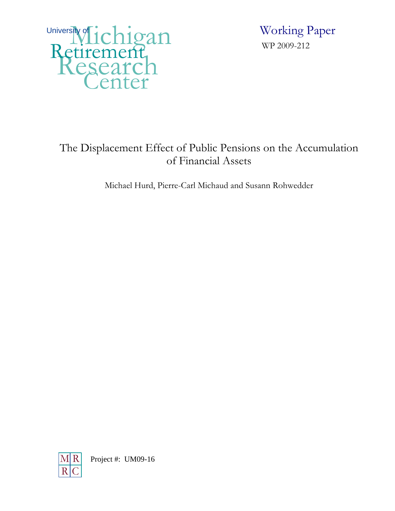

 Working Paper WP 2009-212

# The Displacement Effect of Public Pensions on the Accumulation of Financial Assets

Michael Hurd, Pierre-Carl Michaud and Susann Rohwedder

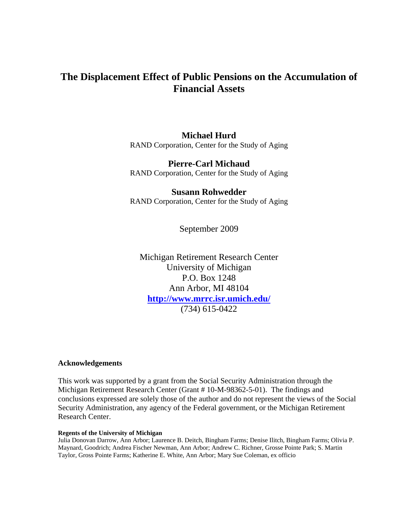# **The Displacement Effect of Public Pensions on the Accumulation of Financial Assets**

### **Michael Hurd**

RAND Corporation, Center for the Study of Aging

### **Pierre-Carl Michaud**

RAND Corporation, Center for the Study of Aging

### **Susann Rohwedder**

RAND Corporation, Center for the Study of Aging

September 2009

Michigan Retirement Research Center University of Michigan P.O. Box 1248 Ann Arbor, MI 48104 **http://www.mrrc.isr.umich.edu/** (734) 615-0422

#### **Acknowledgements**

This work was supported by a grant from the Social Security Administration through the Michigan Retirement Research Center (Grant # 10-M-98362-5-01). The findings and conclusions expressed are solely those of the author and do not represent the views of the Social Security Administration, any agency of the Federal government, or the Michigan Retirement Research Center.

#### **Regents of the University of Michigan**

Julia Donovan Darrow, Ann Arbor; Laurence B. Deitch, Bingham Farms; Denise Ilitch, Bingham Farms; Olivia P. Maynard, Goodrich; Andrea Fischer Newman, Ann Arbor; Andrew C. Richner, Grosse Pointe Park; S. Martin Taylor, Gross Pointe Farms; Katherine E. White, Ann Arbor; Mary Sue Coleman, ex officio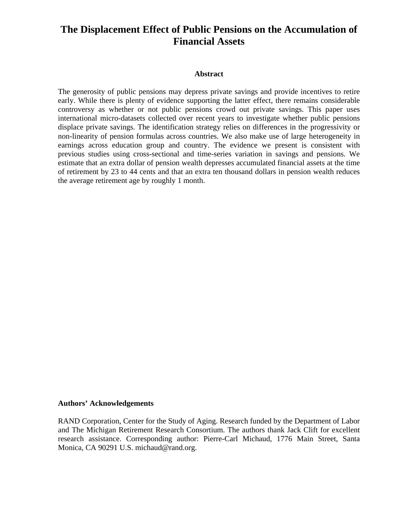# **The Displacement Effect of Public Pensions on the Accumulation of Financial Assets**

#### **Abstract**

The generosity of public pensions may depress private savings and provide incentives to retire early. While there is plenty of evidence supporting the latter effect, there remains considerable controversy as whether or not public pensions crowd out private savings. This paper uses international micro-datasets collected over recent years to investigate whether public pensions displace private savings. The identification strategy relies on differences in the progressivity or non-linearity of pension formulas across countries. We also make use of large heterogeneity in earnings across education group and country. The evidence we present is consistent with previous studies using cross-sectional and time-series variation in savings and pensions. We estimate that an extra dollar of pension wealth depresses accumulated financial assets at the time of retirement by 23 to 44 cents and that an extra ten thousand dollars in pension wealth reduces the average retirement age by roughly 1 month.

#### **Authors' Acknowledgements**

RAND Corporation, Center for the Study of Aging. Research funded by the Department of Labor and The Michigan Retirement Research Consortium. The authors thank Jack Clift for excellent research assistance. Corresponding author: Pierre-Carl Michaud, 1776 Main Street, Santa Monica, CA 90291 U.S. michaud@rand.org.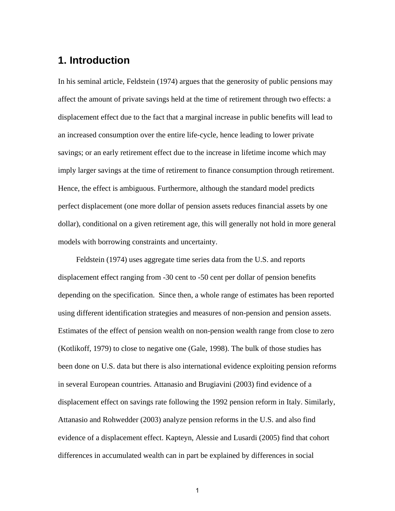# **1. Introduction**

In his seminal article, Feldstein (1974) argues that the generosity of public pensions may affect the amount of private savings held at the time of retirement through two effects: a displacement effect due to the fact that a marginal increase in public benefits will lead to an increased consumption over the entire life-cycle, hence leading to lower private savings; or an early retirement effect due to the increase in lifetime income which may imply larger savings at the time of retirement to finance consumption through retirement. Hence, the effect is ambiguous. Furthermore, although the standard model predicts perfect displacement (one more dollar of pension assets reduces financial assets by one dollar), conditional on a given retirement age, this will generally not hold in more general models with borrowing constraints and uncertainty.

 Feldstein (1974) uses aggregate time series data from the U.S. and reports displacement effect ranging from -30 cent to -50 cent per dollar of pension benefits depending on the specification. Since then, a whole range of estimates has been reported using different identification strategies and measures of non-pension and pension assets. Estimates of the effect of pension wealth on non-pension wealth range from close to zero (Kotlikoff, 1979) to close to negative one (Gale, 1998). The bulk of those studies has been done on U.S. data but there is also international evidence exploiting pension reforms in several European countries. Attanasio and Brugiavini (2003) find evidence of a displacement effect on savings rate following the 1992 pension reform in Italy. Similarly, Attanasio and Rohwedder (2003) analyze pension reforms in the U.S. and also find evidence of a displacement effect. Kapteyn, Alessie and Lusardi (2005) find that cohort differences in accumulated wealth can in part be explained by differences in social

1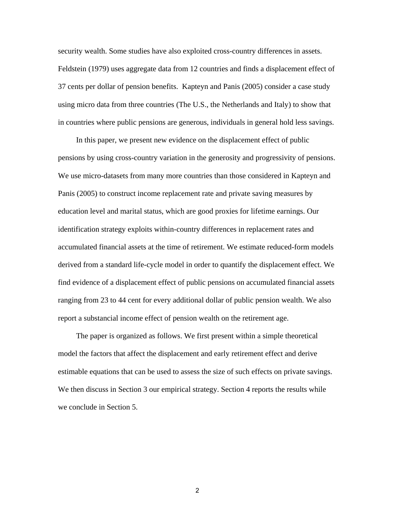security wealth. Some studies have also exploited cross-country differences in assets. Feldstein (1979) uses aggregate data from 12 countries and finds a displacement effect of 37 cents per dollar of pension benefits. Kapteyn and Panis (2005) consider a case study using micro data from three countries (The U.S., the Netherlands and Italy) to show that in countries where public pensions are generous, individuals in general hold less savings.

 In this paper, we present new evidence on the displacement effect of public pensions by using cross-country variation in the generosity and progressivity of pensions. We use micro-datasets from many more countries than those considered in Kapteyn and Panis (2005) to construct income replacement rate and private saving measures by education level and marital status, which are good proxies for lifetime earnings. Our identification strategy exploits within-country differences in replacement rates and accumulated financial assets at the time of retirement. We estimate reduced-form models derived from a standard life-cycle model in order to quantify the displacement effect. We find evidence of a displacement effect of public pensions on accumulated financial assets ranging from 23 to 44 cent for every additional dollar of public pension wealth. We also report a substancial income effect of pension wealth on the retirement age.

 The paper is organized as follows. We first present within a simple theoretical model the factors that affect the displacement and early retirement effect and derive estimable equations that can be used to assess the size of such effects on private savings. We then discuss in Section 3 our empirical strategy. Section 4 reports the results while we conclude in Section 5.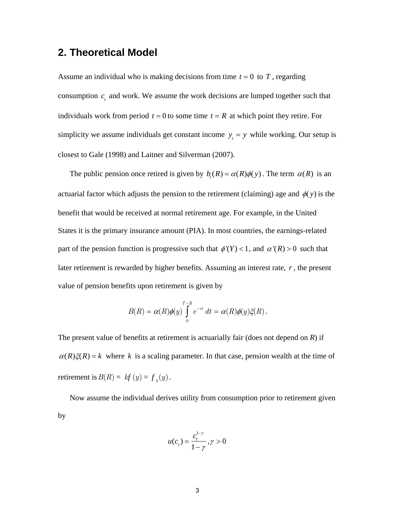# **2. Theoretical Model**

Assume an individual who is making decisions from time  $t = 0$  to  $T$ , regarding consumption  $c<sub>t</sub>$  and work. We assume the work decisions are lumped together such that individuals work from period  $t = 0$  to some time  $t = R$  at which point they retire. For simplicity we assume individuals get constant income  $y_t = y$  while working. Our setup is closest to Gale (1998) and Laitner and Silverman (2007).

The public pension once retired is given by  $b_r(R) = \alpha(R)\phi(y)$ . The term  $\alpha(R)$  is an actuarial factor which adjusts the pension to the retirement (claiming) age and  $\phi(y)$  is the benefit that would be received at normal retirement age. For example, in the United States it is the primary insurance amount (PIA). In most countries, the earnings-related part of the pension function is progressive such that  $\phi'(Y) < 1$ , and  $\alpha'(R) > 0$  such that later retirement is rewarded by higher benefits. Assuming an interest rate, *r* , the present value of pension benefits upon retirement is given by

$$
B(R) = \alpha(R)\phi(y)\int_{0}^{T-R} e^{-rt} dt = \alpha(R)\phi(y)\xi(R).
$$

The present value of benefits at retirement is actuarially fair (does not depend on *R*) if  $\alpha(R)\xi(R) = k$  where k is a scaling parameter. In that case, pension wealth at the time of retirement is  $B(R) = kf(y) = f_k(y)$ .

Now assume the individual derives utility from consumption prior to retirement given by

$$
u(ct) = \frac{ct1-\gamma}{1-\gamma}, \gamma > 0
$$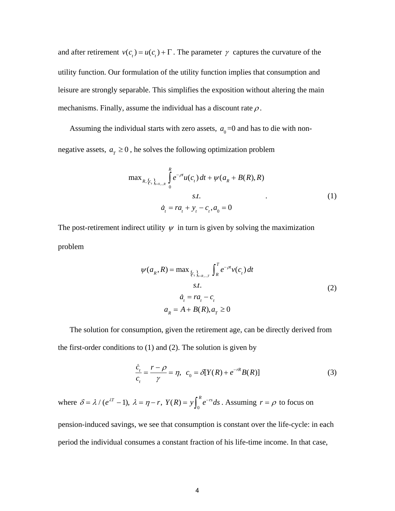and after retirement  $v(c_t) = u(c_t) + \Gamma$ . The parameter  $\gamma$  captures the curvature of the utility function. Our formulation of the utility function implies that consumption and leisure are strongly separable. This simplifies the exposition without altering the main mechanisms. Finally, assume the individual has a discount rate  $\rho$ .

Assuming the individual starts with zero assets,  $a_0=0$  and has to die with non-

negative assets,  $a_r \geq 0$ , he solves the following optimization problem

$$
\max_{R, \{c_s\}_{s=0\ldots R}} \int_{0}^{R} e^{-\rho t} u(c_t) dt + \psi(a_R + B(R), R)
$$
  
s.t. (1)  

$$
\dot{a}_t = r a_t + y_t - c_t, a_0 = 0
$$

The post-retirement indirect utility  $\psi$  in turn is given by solving the maximization problem

$$
\psi(a_R, R) = \max_{\{c_s\}_{s=R,...T}} \int_{R}^{T} e^{-\rho t} v(c_t) dt
$$
  
s.t.  

$$
\dot{a}_t = r a_t - c_t
$$
  

$$
a_R = A + B(R), a_T \ge 0
$$
 (2)

The solution for consumption, given the retirement age, can be directly derived from the first-order conditions to  $(1)$  and  $(2)$ . The solution is given by

$$
\frac{\dot{c}_t}{c_t} = \frac{r - \rho}{\gamma} = \eta, \quad c_0 = \delta[Y(R) + e^{-rR}B(R)]
$$
\n(3)

where  $\delta = \lambda / (e^{\lambda T} - 1)$ ,  $\lambda = \eta - r$ ,  $Y(R) = y \int_0^R e^{-rs} ds$ . Assuming  $\int_0^R e^{-rs} ds$ . Assuming  $r = \rho$  to focus on

pension-induced savings, we see that consumption is constant over the life-cycle: in each period the individual consumes a constant fraction of his life-time income. In that case,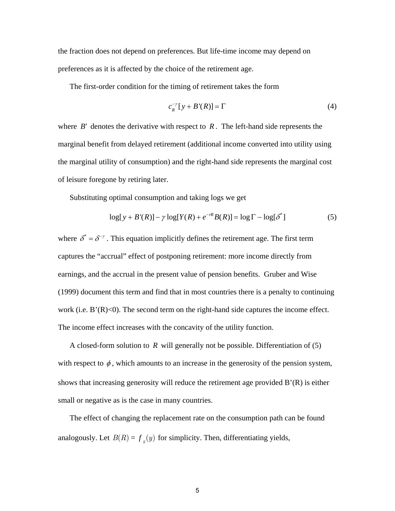the fraction does not depend on preferences. But life-time income may depend on preferences as it is affected by the choice of the retirement age.

The first-order condition for the timing of retirement takes the form

$$
c_R^{-\gamma}[y + B'(R)] = \Gamma \tag{4}
$$

where  $B'$  denotes the derivative with respect to  $R$ . The left-hand side represents the marginal benefit from delayed retirement (additional income converted into utility using the marginal utility of consumption) and the right-hand side represents the marginal cost of leisure foregone by retiring later.

Substituting optimal consumption and taking logs we get

$$
\log[y + B'(R)] - \gamma \log[Y(R) + e^{-rR}B(R)] = \log \Gamma - \log[\delta^*]
$$
\n<sup>(5)</sup>

where  $\delta^* = \delta^{-\gamma}$ . This equation implicitly defines the retirement age. The first term captures the "accrual" effect of postponing retirement: more income directly from earnings, and the accrual in the present value of pension benefits. Gruber and Wise (1999) document this term and find that in most countries there is a penalty to continuing work (i.e.  $B'(R) < 0$ ). The second term on the right-hand side captures the income effect. The income effect increases with the concavity of the utility function.

A closed-form solution to *R* will generally not be possible. Differentiation of (5) with respect to  $\phi$ , which amounts to an increase in the generosity of the pension system, shows that increasing generosity will reduce the retirement age provided B'(R) is either small or negative as is the case in many countries.

The effect of changing the replacement rate on the consumption path can be found analogously. Let  $B(R) = f_k(y)$  for simplicity. Then, differentiating yields,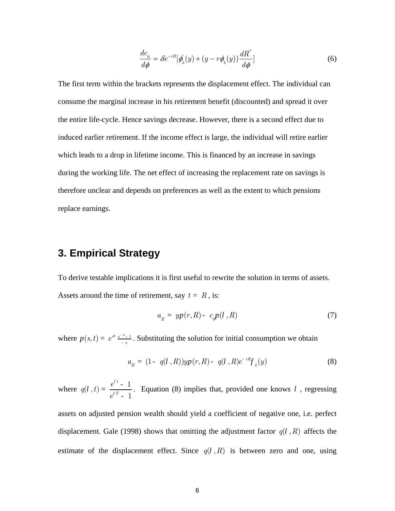$$
\frac{dc_0}{d\phi} = \delta e^{-rR} [\phi_k'(y) + (y - r\phi_k(y)) \frac{dR^*}{d\phi}]
$$
\n(6)

The first term within the brackets represents the displacement effect. The individual can consume the marginal increase in his retirement benefit (discounted) and spread it over the entire life-cycle. Hence savings decrease. However, there is a second effect due to induced earlier retirement. If the income effect is large, the individual will retire earlier which leads to a drop in lifetime income. This is financed by an increase in savings during the working life. The net effect of increasing the replacement rate on savings is therefore unclear and depends on preferences as well as the extent to which pensions replace earnings.

# **3. Empirical Strategy**

To derive testable implications it is first useful to rewrite the solution in terms of assets. Assets around the time of retirement, say  $t = R$ , is:

$$
a_R = yp(r, R) - c_0 p(l, R) \tag{7}
$$

where  $p(s,t) = e^{st} \frac{e^{-st} - 1}{s}$ . Substituting the solution for initial consumption we obtain

$$
a_{R} = (1 - q(l, R))yp(r, R) - q(l, R)e^{-rR}f_{k}(y)
$$
\n(8)

where  $q(l, t) = \frac{e^{l \cdot t} - 1}{l \cdot r}$  $e^{iT} - 1$ . Equation (8) implies that, provided one knows l, regressing

assets on adjusted pension wealth should yield a coefficient of negative one, i.e. perfect displacement. Gale (1998) shows that omitting the adjustment factor  $q(l, R)$  affects the estimate of the displacement effect. Since  $q(l, R)$  is between zero and one, using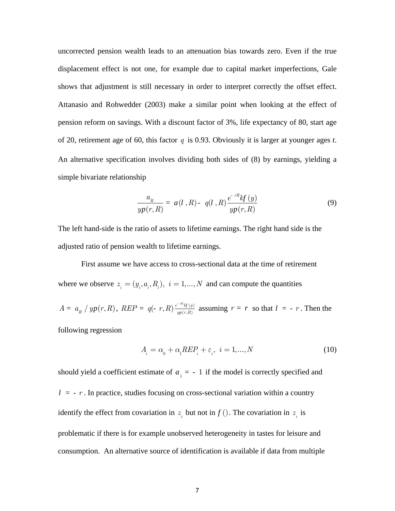uncorrected pension wealth leads to an attenuation bias towards zero. Even if the true displacement effect is not one, for example due to capital market imperfections, Gale shows that adjustment is still necessary in order to interpret correctly the offset effect. Attanasio and Rohwedder (2003) make a similar point when looking at the effect of pension reform on savings. With a discount factor of 3%, life expectancy of 80, start age of 20, retirement age of 60, this factor *q* is 0.93. Obviously it is larger at younger ages *t*. An alternative specification involves dividing both sides of (8) by earnings, yielding a simple bivariate relationship

$$
\frac{a_R}{yp(r,R)} = a(l,R) - q(l,R) \frac{e^{-rR}kf(y)}{yp(r,R)}
$$
\n(9)

The left hand-side is the ratio of assets to lifetime earnings. The right hand side is the adjusted ratio of pension wealth to lifetime earnings.

First assume we have access to cross-sectional data at the time of retirement where we observe  $z_i = (y_i, a_i, R_i)$ ,  $i = 1,...,N$  and can compute the quantities

 $A = a_R / yp(r, R)$ ,  $REP = q(-r, R) \frac{e^{-rR}M(r)}{wp(r, R)}$  $yp(r,R)$  $\frac{rR_{kf}(y)}{p(r,R)}$  assuming  $r = r$  so that  $l = -r$ . Then the

following regression

$$
A_i = \alpha_0 + \alpha_1 R E P_i + \varepsilon_i, \quad i = 1, \dots, N \tag{10}
$$

should yield a coefficient estimate of  $a_1 = -1$  if the model is correctly specified and  $l = -r$ . In practice, studies focusing on cross-sectional variation within a country identify the effect from covariation in  $z_i$  but not in  $f(.)$ . The covariation in  $z_i$  is problematic if there is for example unobserved heterogeneity in tastes for leisure and consumption. An alternative source of identification is available if data from multiple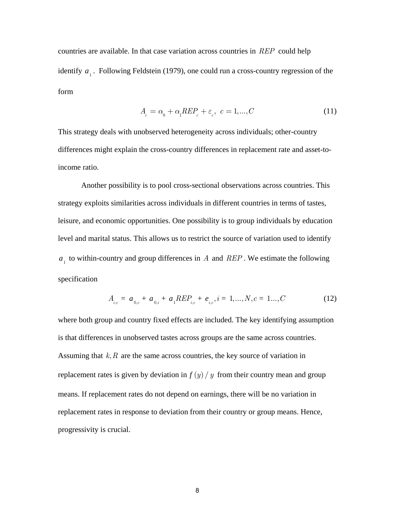countries are available. In that case variation across countries in *REP* could help identify  $a_1$ . Following Feldstein (1979), one could run a cross-country regression of the form

$$
A_c = \alpha_0 + \alpha_1 R E P_c + \varepsilon_c, \quad c = 1, \dots, C \tag{11}
$$

This strategy deals with unobserved heterogeneity across individuals; other-country differences might explain the cross-country differences in replacement rate and asset-toincome ratio.

Another possibility is to pool cross-sectional observations across countries. This strategy exploits similarities across individuals in different countries in terms of tastes, leisure, and economic opportunities. One possibility is to group individuals by education level and marital status. This allows us to restrict the source of variation used to identify  $a_1$  to within-country and group differences in *A* and *REP*. We estimate the following specification

$$
A_{i,c} = a_{0,c} + a_{0,i} + a_1 R E P_{i,c} + e_{i,c}, i = 1,..., N, c = 1...,C
$$
 (12)

where both group and country fixed effects are included. The key identifying assumption is that differences in unobserved tastes across groups are the same across countries. Assuming that *k*,*R* are the same across countries, the key source of variation in replacement rates is given by deviation in  $f(y)/y$  from their country mean and group means. If replacement rates do not depend on earnings, there will be no variation in replacement rates in response to deviation from their country or group means. Hence, progressivity is crucial.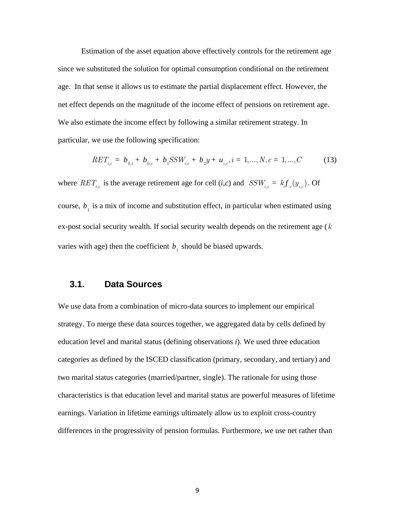Estimation of the asset equation above effectively controls for the retirement age since we substituted the solution for optimal consumption conditional on the retirement age. In that sense it allows us to estimate the partial displacement effect. However, the net effect depends on the magnitude of the income effect of pensions on retirement age. We also estimate the income effect by following a similar retirement strategy. In particular, we use the following specification:

$$
RET_{i,c} = b_{0,i} + b_{0,c} + b_1 SSW_{i,c} + b_2 y + u_{i,c}, i = 1,...,N, c = 1,...,C
$$
 (13)

where  $RET_{i,c}$  is the average retirement age for cell (*i,c*) and  $SSW_{i,c} = kf_c(y_{i,c})$ . Of course,  $b_1$  is a mix of income and substitution effect, in particular when estimated using ex-post social security wealth. If social security wealth depends on the retirement age ( *k* varies with age) then the coefficient  $b<sub>1</sub>$  should be biased upwards.

## **3.1. Data Sources**

We use data from a combination of micro-data sources to implement our empirical strategy. To merge these data sources together, we aggregated data by cells defined by education level and marital status (defining observations *i*). We used three education categories as defined by the ISCED classification (primary, secondary, and tertiary) and two marital status categories (married/partner, single). The rationale for using those characteristics is that education level and marital status are powerful measures of lifetime earnings. Variation in lifetime earnings ultimately allow us to exploit cross-country differences in the progressivity of pension formulas. Furthermore, we use net rather than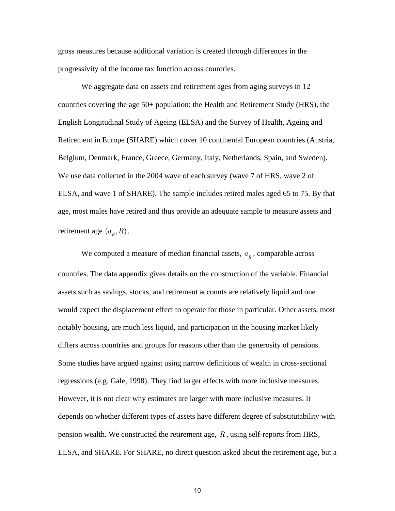gross measures because additional variation is created through differences in the progressivity of the income tax function across countries.

We aggregate data on assets and retirement ages from aging surveys in 12 countries covering the age 50+ population: the Health and Retirement Study (HRS), the English Longitudinal Study of Ageing (ELSA) and the Survey of Health, Ageing and Retirement in Europe (SHARE) which cover 10 continental European countries (Austria, Belgium, Denmark, France, Greece, Germany, Italy, Netherlands, Spain, and Sweden). We use data collected in the 2004 wave of each survey (wave 7 of HRS, wave 2 of ELSA, and wave 1 of SHARE). The sample includes retired males aged 65 to 75. By that age, most males have retired and thus provide an adequate sample to measure assets and retirement age  $(a<sub>R</sub>, R)$ .

We computed a measure of median financial assets,  $\boldsymbol{a}_{\boldsymbol{R}}$  , comparable across countries. The data appendix gives details on the construction of the variable. Financial assets such as savings, stocks, and retirement accounts are relatively liquid and one would expect the displacement effect to operate for those in particular. Other assets, most notably housing, are much less liquid, and participation in the housing market likely differs across countries and groups for reasons other than the generosity of pensions. Some studies have argued against using narrow definitions of wealth in cross-sectional regressions (e.g. Gale, 1998). They find larger effects with more inclusive measures. However, it is not clear why estimates are larger with more inclusive measures. It depends on whether different types of assets have different degree of substitutability with pension wealth. We constructed the retirement age, *R* , using self-reports from HRS, ELSA, and SHARE. For SHARE, no direct question asked about the retirement age, but a

10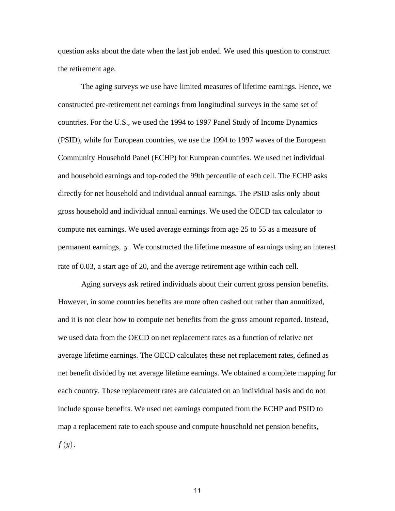question asks about the date when the last job ended. We used this question to construct the retirement age.

The aging surveys we use have limited measures of lifetime earnings. Hence, we constructed pre-retirement net earnings from longitudinal surveys in the same set of countries. For the U.S., we used the 1994 to 1997 Panel Study of Income Dynamics (PSID), while for European countries, we use the 1994 to 1997 waves of the European Community Household Panel (ECHP) for European countries. We used net individual and household earnings and top-coded the 99th percentile of each cell. The ECHP asks directly for net household and individual annual earnings. The PSID asks only about gross household and individual annual earnings. We used the OECD tax calculator to compute net earnings. We used average earnings from age 25 to 55 as a measure of permanent earnings, *y* . We constructed the lifetime measure of earnings using an interest rate of 0.03, a start age of 20, and the average retirement age within each cell.

Aging surveys ask retired individuals about their current gross pension benefits. However, in some countries benefits are more often cashed out rather than annuitized, and it is not clear how to compute net benefits from the gross amount reported. Instead, we used data from the OECD on net replacement rates as a function of relative net average lifetime earnings. The OECD calculates these net replacement rates, defined as net benefit divided by net average lifetime earnings. We obtained a complete mapping for each country. These replacement rates are calculated on an individual basis and do not include spouse benefits. We used net earnings computed from the ECHP and PSID to map a replacement rate to each spouse and compute household net pension benefits, *f* (*y*).

11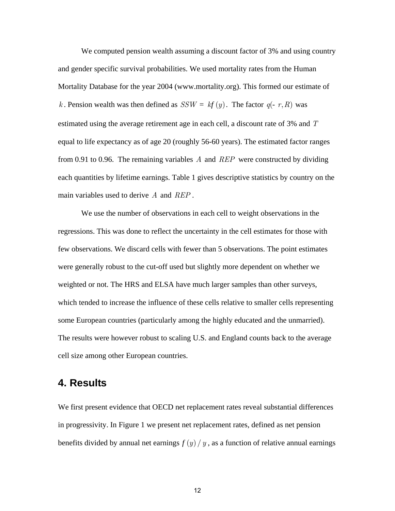We computed pension wealth assuming a discount factor of 3% and using country and gender specific survival probabilities. We used mortality rates from the Human Mortality Database for the year 2004 (www.mortality.org). This formed our estimate of *k*. Pension wealth was then defined as  $SSW = kf(y)$ . The factor  $q(-r, R)$  was estimated using the average retirement age in each cell, a discount rate of 3% and *T* equal to life expectancy as of age 20 (roughly 56-60 years). The estimated factor ranges from 0.91 to 0.96. The remaining variables *A* and *REP* were constructed by dividing each quantities by lifetime earnings. Table 1 gives descriptive statistics by country on the main variables used to derive *A* and *REP* .

 We use the number of observations in each cell to weight observations in the regressions. This was done to reflect the uncertainty in the cell estimates for those with few observations. We discard cells with fewer than 5 observations. The point estimates were generally robust to the cut-off used but slightly more dependent on whether we weighted or not. The HRS and ELSA have much larger samples than other surveys, which tended to increase the influence of these cells relative to smaller cells representing some European countries (particularly among the highly educated and the unmarried). The results were however robust to scaling U.S. and England counts back to the average cell size among other European countries.

# **4. Results**

We first present evidence that OECD net replacement rates reveal substantial differences in progressivity. In Figure 1 we present net replacement rates, defined as net pension benefits divided by annual net earnings  $f(y)/y$ , as a function of relative annual earnings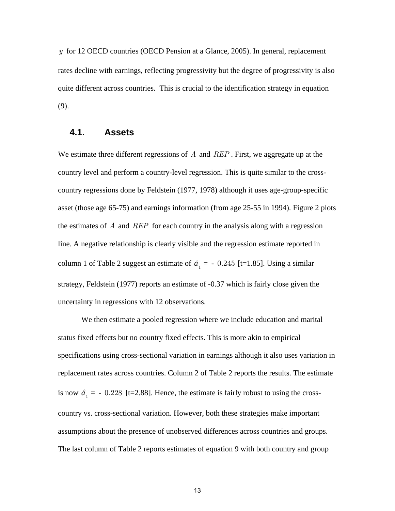*y* for 12 OECD countries (OECD Pension at a Glance, 2005). In general, replacement rates decline with earnings, reflecting progressivity but the degree of progressivity is also quite different across countries. This is crucial to the identification strategy in equation (9).

### **4.1. Assets**

We estimate three different regressions of *A* and *REP* . First, we aggregate up at the country level and perform a country-level regression. This is quite similar to the crosscountry regressions done by Feldstein (1977, 1978) although it uses age-group-specific asset (those age 65-75) and earnings information (from age 25-55 in 1994). Figure 2 plots the estimates of *A* and *REP* for each country in the analysis along with a regression line. A negative relationship is clearly visible and the regression estimate reported in column 1 of Table 2 suggest an estimate of  $\hat{a}_1 = -0.245$  [t=1.85]. Using a similar strategy, Feldstein (1977) reports an estimate of -0.37 which is fairly close given the uncertainty in regressions with 12 observations.

 We then estimate a pooled regression where we include education and marital status fixed effects but no country fixed effects. This is more akin to empirical specifications using cross-sectional variation in earnings although it also uses variation in replacement rates across countries. Column 2 of Table 2 reports the results. The estimate is now  $\hat{a}_1 = -0.228$  [t=2.88]. Hence, the estimate is fairly robust to using the crosscountry vs. cross-sectional variation. However, both these strategies make important assumptions about the presence of unobserved differences across countries and groups. The last column of Table 2 reports estimates of equation 9 with both country and group

13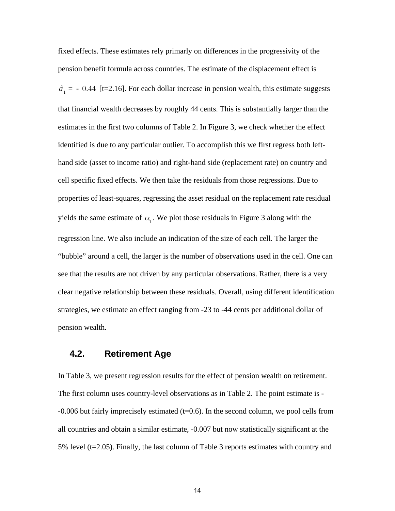fixed effects. These estimates rely primarly on differences in the progressivity of the pension benefit formula across countries. The estimate of the displacement effect is  $\hat{a}_1$  = - 0.44 [t=2.16]. For each dollar increase in pension wealth, this estimate suggests that financial wealth decreases by roughly 44 cents. This is substantially larger than the estimates in the first two columns of Table 2. In Figure 3, we check whether the effect identified is due to any particular outlier. To accomplish this we first regress both lefthand side (asset to income ratio) and right-hand side (replacement rate) on country and cell specific fixed effects. We then take the residuals from those regressions. Due to properties of least-squares, regressing the asset residual on the replacement rate residual yields the same estimate of  $\alpha$ <sub>1</sub>. We plot those residuals in Figure 3 along with the regression line. We also include an indication of the size of each cell. The larger the "bubble" around a cell, the larger is the number of observations used in the cell. One can see that the results are not driven by any particular observations. Rather, there is a very clear negative relationship between these residuals. Overall, using different identification strategies, we estimate an effect ranging from -23 to -44 cents per additional dollar of pension wealth.

# **4.2. Retirement Age**

In Table 3, we present regression results for the effect of pension wealth on retirement. The first column uses country-level observations as in Table 2. The point estimate is - -0.006 but fairly imprecisely estimated (t=0.6). In the second column, we pool cells from all countries and obtain a similar estimate, -0.007 but now statistically significant at the 5% level (t=2.05). Finally, the last column of Table 3 reports estimates with country and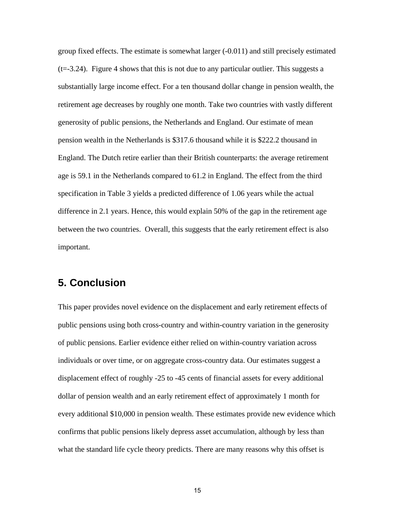group fixed effects. The estimate is somewhat larger (-0.011) and still precisely estimated  $(t=3.24)$ . Figure 4 shows that this is not due to any particular outlier. This suggests a substantially large income effect. For a ten thousand dollar change in pension wealth, the retirement age decreases by roughly one month. Take two countries with vastly different generosity of public pensions, the Netherlands and England. Our estimate of mean pension wealth in the Netherlands is \$317.6 thousand while it is \$222.2 thousand in England. The Dutch retire earlier than their British counterparts: the average retirement age is 59.1 in the Netherlands compared to 61.2 in England. The effect from the third specification in Table 3 yields a predicted difference of 1.06 years while the actual difference in 2.1 years. Hence, this would explain 50% of the gap in the retirement age between the two countries. Overall, this suggests that the early retirement effect is also important.

# **5. Conclusion**

This paper provides novel evidence on the displacement and early retirement effects of public pensions using both cross-country and within-country variation in the generosity of public pensions. Earlier evidence either relied on within-country variation across individuals or over time, or on aggregate cross-country data. Our estimates suggest a displacement effect of roughly -25 to -45 cents of financial assets for every additional dollar of pension wealth and an early retirement effect of approximately 1 month for every additional \$10,000 in pension wealth. These estimates provide new evidence which confirms that public pensions likely depress asset accumulation, although by less than what the standard life cycle theory predicts. There are many reasons why this offset is

15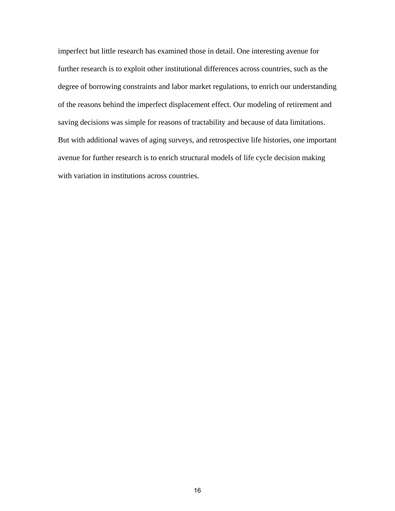imperfect but little research has examined those in detail. One interesting avenue for further research is to exploit other institutional differences across countries, such as the degree of borrowing constraints and labor market regulations, to enrich our understanding of the reasons behind the imperfect displacement effect. Our modeling of retirement and saving decisions was simple for reasons of tractability and because of data limitations. But with additional waves of aging surveys, and retrospective life histories, one important avenue for further research is to enrich structural models of life cycle decision making with variation in institutions across countries.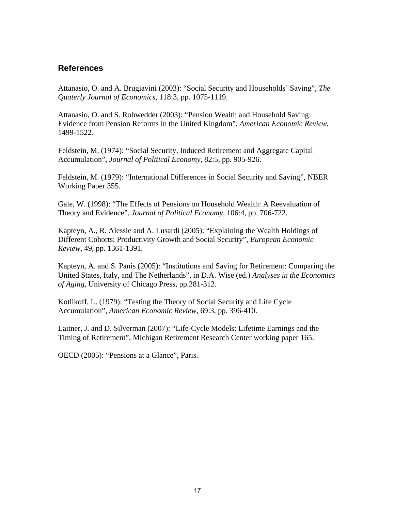# **References**

Attanasio, O. and A. Brugiavini (2003): "Social Security and Households' Saving", *The Quaterly Journal of Economics*, 118:3, pp. 1075-1119.

Attanasio, O. and S. Rohwedder (2003): "Pension Wealth and Household Saving: Evidence from Pension Reforms in the United Kingdom", *American Economic Review*, 1499-1522.

Feldstein, M. (1974): "Social Security, Induced Retirement and Aggregate Capital Accumulation", *Journal of Political Economy*, 82:5, pp. 905-926.

Feldstein, M. (1979): "International Differences in Social Security and Saving", NBER Working Paper 355.

Gale, W. (1998): "The Effects of Pensions on Household Wealth: A Reevaluation of Theory and Evidence", *Journal of Political Economy*, 106:4, pp. 706-722.

Kapteyn, A., R. Alessie and A. Lusardi (2005): "Explaining the Wealth Holdings of Different Cohorts: Productivity Growth and Social Security", *European Economic Review*, 49, pp. 1361-1391.

Kapteyn, A. and S. Panis (2005): "Institutions and Saving for Retirement: Comparing the United States, Italy, and The Netherlands", in D.A. Wise (ed.) *Analyses in the Economics of Aging,* University of Chicago Press, pp.281-312.

Kotlikoff, L. (1979): "Testing the Theory of Social Security and Life Cycle Accumulation", *American Economic Review*, 69:3, pp. 396-410.

Laitner, J. and D. Silverman (2007): "Life-Cycle Models: Lifetime Earnings and the Timing of Retirement", Michigan Retirement Research Center working paper 165.

OECD (2005): "Pensions at a Glance", Paris.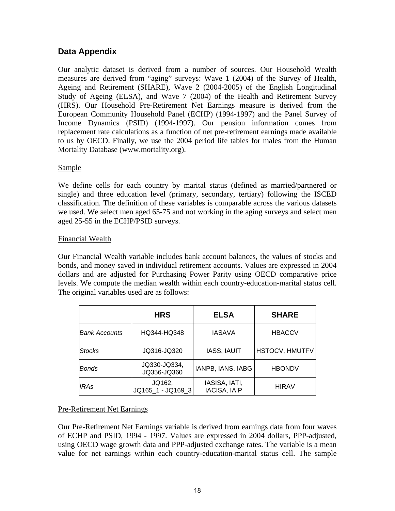# **Data Appendix**

Our analytic dataset is derived from a number of sources. Our Household Wealth measures are derived from "aging" surveys: Wave 1 (2004) of the Survey of Health, Ageing and Retirement (SHARE), Wave 2 (2004-2005) of the English Longitudinal Study of Ageing (ELSA), and Wave 7 (2004) of the Health and Retirement Survey (HRS). Our Household Pre-Retirement Net Earnings measure is derived from the European Community Household Panel (ECHP) (1994-1997) and the Panel Survey of Income Dynamics (PSID) (1994-1997). Our pension information comes from replacement rate calculations as a function of net pre-retirement earnings made available to us by OECD. Finally, we use the 2004 period life tables for males from the Human Mortality Database (www.mortality.org).

### Sample

We define cells for each country by marital status (defined as married/partnered or single) and three education level (primary, secondary, tertiary) following the ISCED classification. The definition of these variables is comparable across the various datasets we used. We select men aged 65-75 and not working in the aging surveys and select men aged 25-55 in the ECHP/PSID surveys.

## Financial Wealth

Our Financial Wealth variable includes bank account balances, the values of stocks and bonds, and money saved in individual retirement accounts. Values are expressed in 2004 dollars and are adjusted for Purchasing Power Parity using OECD comparative price levels. We compute the median wealth within each country-education-marital status cell. The original variables used are as follows:

|                      | <b>HRS</b>                  | <b>ELSA</b>                          | <b>SHARE</b>          |
|----------------------|-----------------------------|--------------------------------------|-----------------------|
| <b>Bank Accounts</b> | HQ344-HQ348                 | <b>IASAVA</b>                        | <b>HBACCV</b>         |
| <b>Stocks</b>        | JQ316-JQ320                 | <b>IASS, IAUIT</b>                   | <b>HSTOCV, HMUTFV</b> |
| <b>Bonds</b>         | JQ330-JQ334,<br>JQ356-JQ360 | IANPB, IANS, IABG                    | <b>HBONDV</b>         |
| IRAs                 | JQ162,<br>JQ165 1 - JQ169 3 | IASISA, IATI,<br><b>IACISA, IAIP</b> | <b>HIRAV</b>          |

## Pre-Retirement Net Earnings

Our Pre-Retirement Net Earnings variable is derived from earnings data from four waves of ECHP and PSID, 1994 - 1997. Values are expressed in 2004 dollars, PPP-adjusted, using OECD wage growth data and PPP-adjusted exchange rates. The variable is a mean value for net earnings within each country-education-marital status cell. The sample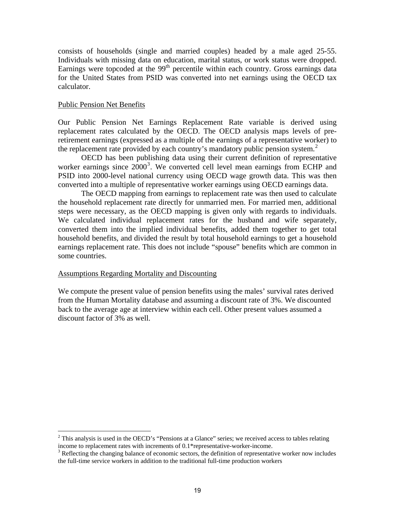<span id="page-21-0"></span>consists of households (single and married couples) headed by a male aged 25-55. Individuals with missing data on education, marital status, or work status were dropped. Earnings were topcoded at the  $99<sup>th</sup>$  percentile within each country. Gross earnings data for the United States from PSID was converted into net earnings using the OECD tax calculator.

#### Public Pension Net Benefits

<u>.</u>

Our Public Pension Net Earnings Replacement Rate variable is derived using replacement rates calculated by the OECD. The OECD analysis maps levels of preretirement earnings (expressed as a multiple of the earnings of a representative worker) to the replacement rate provided by each country's mandatory public pension system.<sup>[2](#page-21-0)</sup>

OECD has been publishing data using their current definition of representative worker earnings since  $2000^3$  $2000^3$ . We converted cell level mean earnings from ECHP and PSID into 2000-level national currency using OECD wage growth data. This was then converted into a multiple of representative worker earnings using OECD earnings data.

The OECD mapping from earnings to replacement rate was then used to calculate the household replacement rate directly for unmarried men. For married men, additional steps were necessary, as the OECD mapping is given only with regards to individuals. We calculated individual replacement rates for the husband and wife separately, converted them into the implied individual benefits, added them together to get total household benefits, and divided the result by total household earnings to get a household earnings replacement rate. This does not include "spouse" benefits which are common in some countries.

#### Assumptions Regarding Mortality and Discounting

We compute the present value of pension benefits using the males' survival rates derived from the Human Mortality database and assuming a discount rate of 3%. We discounted back to the average age at interview within each cell. Other present values assumed a discount factor of 3% as well.

 $2$  This analysis is used in the OECD's "Pensions at a Glance" series; we received access to tables relating income to replacement rates with increments of 0.1\*representative-worker-income. 3

<sup>&</sup>lt;sup>3</sup> Reflecting the changing balance of economic sectors, the definition of representative worker now includes the full-time service workers in addition to the traditional full-time production workers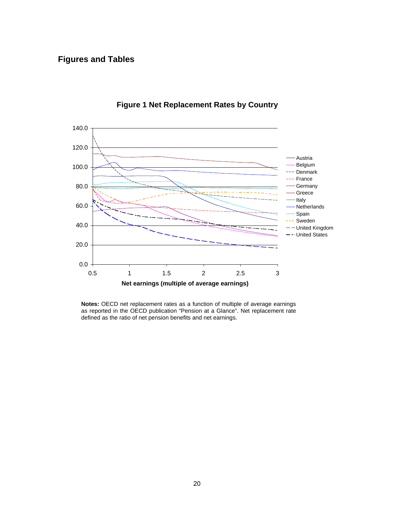# **Figures and Tables**



**Figure 1 Net Replacement Rates by Country** 

**Notes:** OECD net replacement rates as a function of multiple of average earnings as reported in the OECD publication "Pension at a Glance". Net replacement rate defined as the ratio of net pension benefits and net earnings.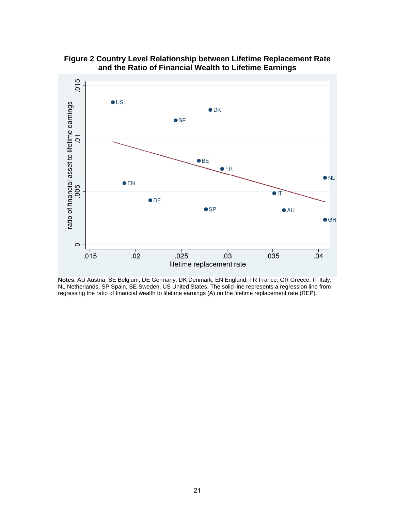

**Figure 2 Country Level Relationship between Lifetime Replacement Rate and the Ratio of Financial Wealth to Lifetime Earnings** 

**Notes**: AU Austria, BE Belgium, DE Germany, DK Denmark, EN England, FR France, GR Greece, IT Italy, NL Netherlands, SP Spain, SE Sweden, US United States. The solid line represents a regression line from regressing the ratio of financial wealth to lifetime earnings (A) on the lifetime replacement rate (REP).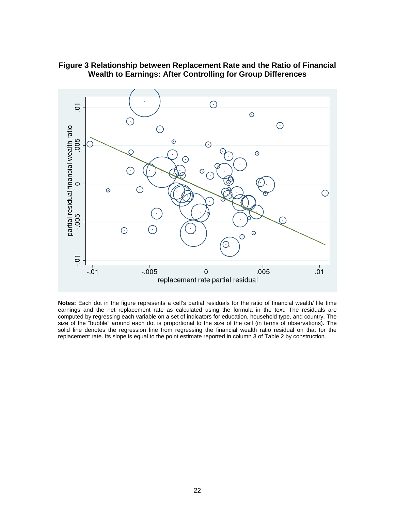

### **Figure 3 Relationship between Replacement Rate and the Ratio of Financial Wealth to Earnings: After Controlling for Group Differences**

**Notes:** Each dot in the figure represents a cell's partial residuals for the ratio of financial wealth/ life time earnings and the net replacement rate as calculated using the formula in the text. The residuals are computed by regressing each variable on a set of indicators for education, household type, and country. The size of the "bubble" around each dot is proportional to the size of the cell (in terms of observations). The solid line denotes the regression line from regressing the financial wealth ratio residual on that for the replacement rate. Its slope is equal to the point estimate reported in column 3 of Table 2 by construction.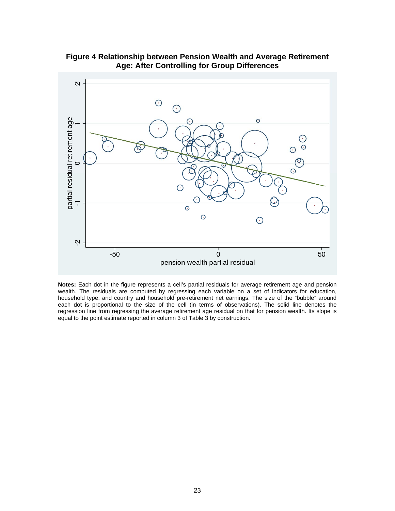



**Notes:** Each dot in the figure represents a cell's partial residuals for average retirement age and pension wealth. The residuals are computed by regressing each variable on a set of indicators for education, household type, and country and household pre-retirement net earnings. The size of the "bubble" around each dot is proportional to the size of the cell (in terms of observations). The solid line denotes the regression line from regressing the average retirement age residual on that for pension wealth. Its slope is equal to the point estimate reported in column 3 of Table 3 by construction.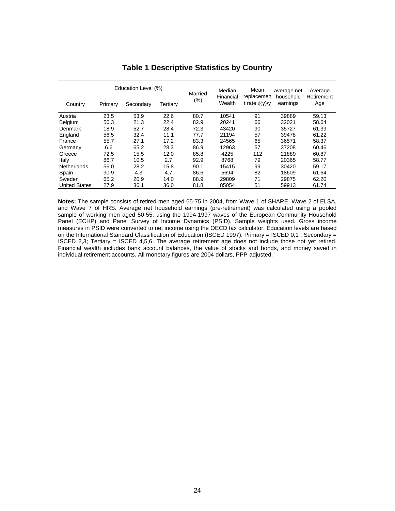| Education Level (%)  |         | Married   | Median   | Mean<br>replacemen | average net         | Average            |                       |                   |
|----------------------|---------|-----------|----------|--------------------|---------------------|--------------------|-----------------------|-------------------|
| Country              | Primary | Secondary | Tertiary | (%)                | Financial<br>Wealth | t rate $\phi(y)/y$ | household<br>earnings | Retirement<br>Age |
| Austria              | 23.5    | 53.9      | 22.6     | 80.7               | 10541               | 91                 | 39889                 | 59.13             |
| Belgium              | 56.3    | 21.3      | 22.4     | 82.9               | 20241               | 66                 | 32021                 | 58.64             |
| <b>Denmark</b>       | 18.9    | 52.7      | 28.4     | 72.3               | 43420               | 90                 | 35727                 | 61.39             |
| England              | 56.5    | 32.4      | 11.1     | 77.7               | 21194               | 57                 | 39478                 | 61.22             |
| France               | 55.7    | 27.1      | 17.2     | 83.3               | 24565               | 65                 | 36571                 | 58.37             |
| Germany              | 6.6     | 65.2      | 28.3     | 86.9               | 12963               | 57                 | 37208                 | 60.46             |
| Greece               | 72.5    | 15.5      | 12.0     | 85.8               | 4225                | 112                | 21889                 | 60.87             |
| Italy                | 86.7    | 10.5      | 2.7      | 92.9               | 8768                | 79                 | 20365                 | 58.77             |
| <b>Netherlands</b>   | 56.0    | 28.2      | 15.8     | 90.1               | 15415               | 99                 | 30420                 | 59.17             |
| Spain                | 90.9    | 4.3       | 4.7      | 86.6               | 5694                | 82                 | 18609                 | 61.64             |
| Sweden               | 65.2    | 20.9      | 14.0     | 88.9               | 29809               | 71                 | 29875                 | 62.20             |
| <b>United States</b> | 27.9    | 36.1      | 36.0     | 81.8               | 85054               | 51                 | 59913                 | 61.74             |

#### **Table 1 Descriptive Statistics by Country**

**Notes:** The sample consists of retired men aged 65-75 in 2004, from Wave 1 of SHARE, Wave 2 of ELSA, and Wave 7 of HRS. Average net household earnings (pre-retirement) was calculated using a pooled sample of working men aged 50-55, using the 1994-1997 waves of the European Community Household Panel (ECHP) and Panel Survey of Income Dynamics (PSID). Sample weights used. Gross income measures in PSID were converted to net income using the OECD tax calculator. Education levels are based on the International Standard Classification of Education (ISCED 1997): Primary = ISCED 0,1 ; Secondary = ISCED 2,3; Tertiary = ISCED 4,5,6. The average retirement age does not include those not yet retired. Financial wealth includes bank account balances, the value of stocks and bonds, and money saved in individual retirement accounts. All monetary figures are 2004 dollars, PPP-adjusted.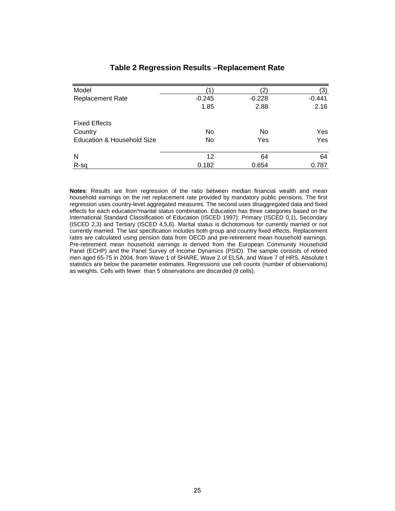| Model                      |          | $^{\prime}2)$ | (3)      |
|----------------------------|----------|---------------|----------|
| <b>Replacement Rate</b>    | $-0.245$ | $-0.228$      | $-0.441$ |
|                            | 1.85     | 2.88          | 2.16     |
| <b>Fixed Effects</b>       |          |               |          |
| Country                    | No       | No            | Yes      |
| Education & Household Size | No       | Yes           | Yes      |
| N                          | 12       | 64            | 64       |
| R-sq                       | 0.182    | 0.654         | 0.787    |

### **Table 2 Regression Results –Replacement Rate**

**Notes**: Results are from regression of the ratio between median financial wealth and mean household earnings on the net replacement rate provided by mandatory public pensions. The first regression uses country-level aggregated measures. The second uses disaggregated data and fixed effects for each education\*marital status combination. Education has three categories based on the International Standard Classification of Education (ISCED 1997): Primary (ISCED 0,1), Secondary (ISCED 2,3) and Tertiary (ISCED 4,5,6). Marital status is dichotomous for currently married or not currently married. The last specification includes both group and country fixed effects. Replacement rates are calculated using pension data from OECD and pre-retirement mean household earnings. Pre-retirement mean household earnings is derived from the European Community Household Panel (ECHP) and the Panel Survey of Income Dynamics (PSID). The sample consists of retired men aged 65-75 in 2004, from Wave 1 of SHARE, Wave 2 of ELSA, and Wave 7 of HRS. Absolute t statistics are below the parameter estimates. Regressions use cell counts (number of observations) as weights. Cells with fewer than 5 observations are discarded (8 cells).